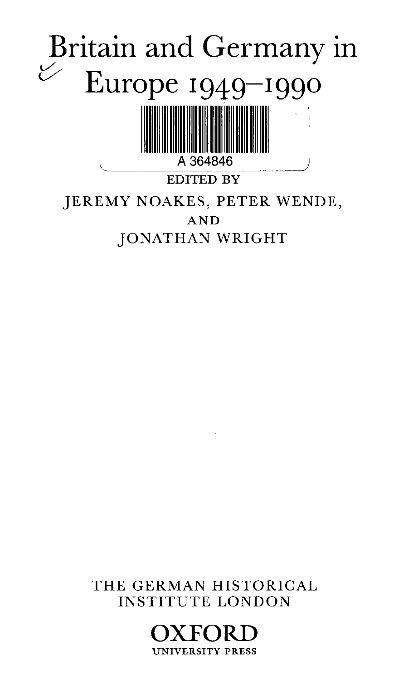

THE GERMAN HISTORICAL INSTITUTE LONDON

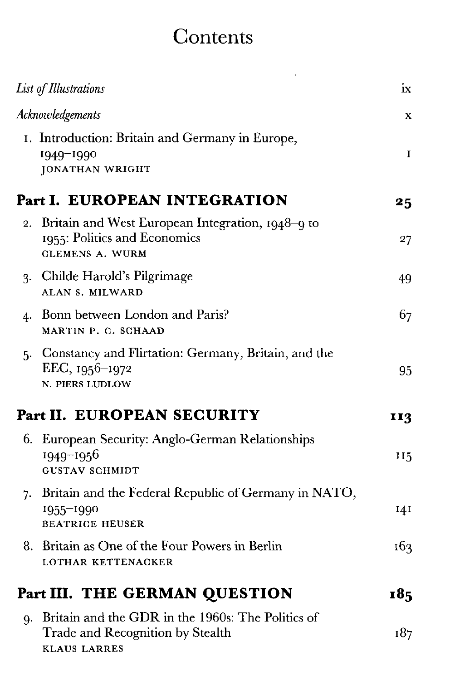## **Contents**

| List of Illustrations                                                                                        | ix          |
|--------------------------------------------------------------------------------------------------------------|-------------|
| Acknowledgements                                                                                             | X           |
| I. Introduction: Britain and Germany in Europe,<br>1949-1990<br>JONATHAN WRIGHT                              | $\mathbf I$ |
| Part I. EUROPEAN INTEGRATION                                                                                 | 25          |
| Britain and West European Integration, 1948–9 to<br>1955: Politics and Economics<br><b>CLEMENS A. WURM</b>   | 27          |
| 3. Childe Harold's Pilgrimage<br>ALAN S. MILWARD                                                             | 49          |
| Bonn between London and Paris?<br>MARTIN P. C. SCHAAD                                                        | 67          |
| 5. Constancy and Flirtation: Germany, Britain, and the<br>EEC, 1956-1972<br>N. PIERS LUDLOW                  | 95          |
| Part II. EUROPEAN SECURITY                                                                                   | 113         |
| 6. European Security: Anglo-German Relationships<br>1949-1956<br><b>GUSTAV SCHMIDT</b>                       | 115         |
| 7. Britain and the Federal Republic of Germany in NATO,<br>1955-1990<br><b>BEATRICE HEUSER</b>               | <b>141</b>  |
| 8. Britain as One of the Four Powers in Berlin<br>LOTHAR KETTENACKER                                         | 163         |
| Part III. THE GERMAN QUESTION                                                                                | 185         |
| Britain and the GDR in the 1960s: The Politics of<br>Trade and Recognition by Stealth<br><b>KLAUS LARRES</b> | 187         |
|                                                                                                              |             |